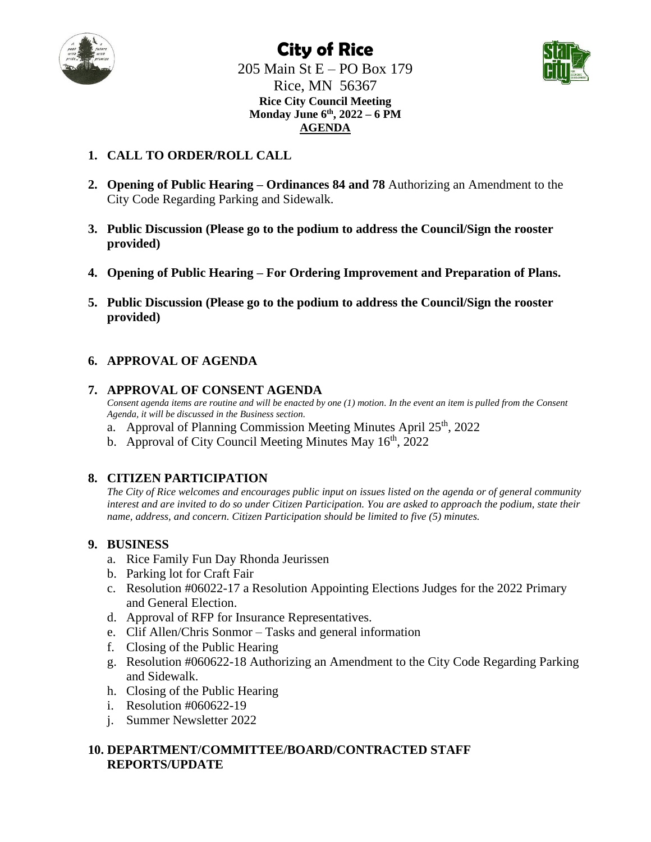

## **City of Rice** 205 Main St E – PO Box 179 Rice, MN 56367 **Rice City Council Meeting Monday June 6th, 2022 – 6 PM**

**AGENDA**



#### **1. CALL TO ORDER/ROLL CALL**

- **2. Opening of Public Hearing – Ordinances 84 and 78** Authorizing an Amendment to the City Code Regarding Parking and Sidewalk.
- **3. Public Discussion (Please go to the podium to address the Council/Sign the rooster provided)**
- **4. Opening of Public Hearing – For Ordering Improvement and Preparation of Plans.**
- **5. Public Discussion (Please go to the podium to address the Council/Sign the rooster provided)**

#### **6. APPROVAL OF AGENDA**

#### **7. APPROVAL OF CONSENT AGENDA**

*Consent agenda items are routine and will be enacted by one (1) motion. In the event an item is pulled from the Consent Agenda, it will be discussed in the Business section.*

- a. Approval of Planning Commission Meeting Minutes April  $25<sup>th</sup>$ , 2022
- b. Approval of City Council Meeting Minutes May  $16<sup>th</sup>$ , 2022

#### **8. CITIZEN PARTICIPATION**

*The City of Rice welcomes and encourages public input on issues listed on the agenda or of general community interest and are invited to do so under Citizen Participation. You are asked to approach the podium, state their name, address, and concern. Citizen Participation should be limited to five (5) minutes.*

#### **9. BUSINESS**

- a. Rice Family Fun Day Rhonda Jeurissen
- b. Parking lot for Craft Fair
- c. Resolution #06022-17 a Resolution Appointing Elections Judges for the 2022 Primary and General Election.
- d. Approval of RFP for Insurance Representatives.
- e. Clif Allen/Chris Sonmor Tasks and general information
- f. Closing of the Public Hearing
- g. Resolution #060622-18 Authorizing an Amendment to the City Code Regarding Parking and Sidewalk.
- h. Closing of the Public Hearing
- i. Resolution #060622-19
- j. Summer Newsletter 2022

#### **10. DEPARTMENT/COMMITTEE/BOARD/CONTRACTED STAFF REPORTS/UPDATE**